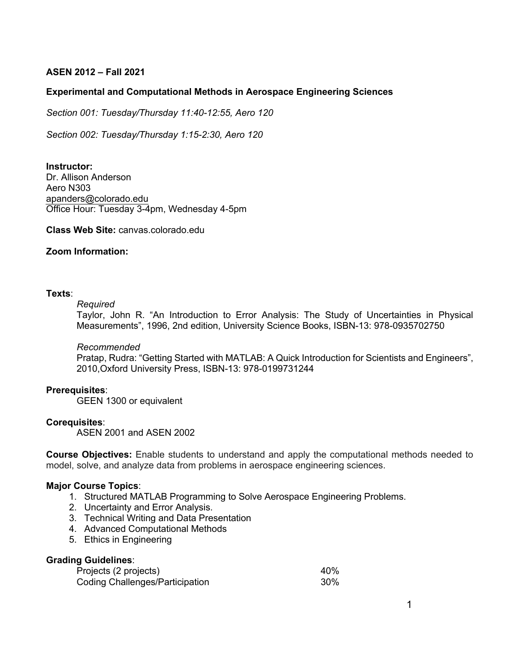# **ASEN 2012 – Fall 2021**

## **Experimental and Computational Methods in Aerospace Engineering Sciences**

*Section 001: Tuesday/Thursday 11:40-12:55, Aero 120*

*Section 002: Tuesday/Thursday 1:15-2:30, Aero 120*

**Instructor:** Dr. Allison Anderson Aero N303 apanders@colorado.edu Office Hour: Tuesday 3-4pm, Wednesday 4-5pm

**Class Web Site:** canvas.colorado.edu

## **Zoom Information:**

### **Texts**:

#### *Required*

Taylor, John R. "An Introduction to Error Analysis: The Study of Uncertainties in Physical Measurements", 1996, 2nd edition, University Science Books, ISBN-13: 978-0935702750

#### *Recommended*

Pratap, Rudra: "Getting Started with MATLAB: A Quick Introduction for Scientists and Engineers", 2010,Oxford University Press, ISBN-13: 978-0199731244

#### **Prerequisites**:

GEEN 1300 or equivalent

#### **Corequisites**:

ASEN 2001 and ASEN 2002

**Course Objectives:** Enable students to understand and apply the computational methods needed to model, solve, and analyze data from problems in aerospace engineering sciences.

### **Major Course Topics**:

- 1. Structured MATLAB Programming to Solve Aerospace Engineering Problems.
- 2. Uncertainty and Error Analysis.
- 3. Technical Writing and Data Presentation
- 4. Advanced Computational Methods
- 5. Ethics in Engineering

## **Grading Guidelines**:

| Projects (2 projects)           | 40%    |
|---------------------------------|--------|
| Coding Challenges/Participation | $30\%$ |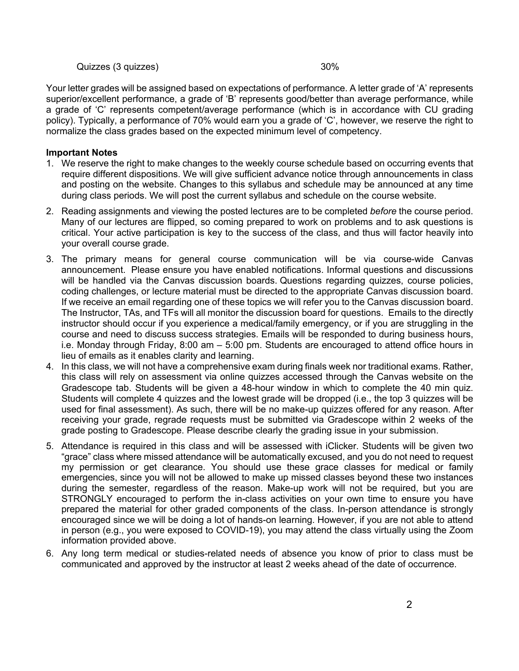Quizzes (3 quizzes) 30%

Your letter grades will be assigned based on expectations of performance. A letter grade of 'A' represents superior/excellent performance, a grade of 'B' represents good/better than average performance, while a grade of 'C' represents competent/average performance (which is in accordance with CU grading policy). Typically, a performance of 70% would earn you a grade of 'C', however, we reserve the right to normalize the class grades based on the expected minimum level of competency.

# **Important Notes**

- 1. We reserve the right to make changes to the weekly course schedule based on occurring events that require different dispositions. We will give sufficient advance notice through announcements in class and posting on the website. Changes to this syllabus and schedule may be announced at any time during class periods. We will post the current syllabus and schedule on the course website.
- 2. Reading assignments and viewing the posted lectures are to be completed *before* the course period. Many of our lectures are flipped, so coming prepared to work on problems and to ask questions is critical. Your active participation is key to the success of the class, and thus will factor heavily into your overall course grade.
- 3. The primary means for general course communication will be via course-wide Canvas announcement. Please ensure you have enabled notifications. Informal questions and discussions will be handled via the Canvas discussion boards. Questions regarding quizzes, course policies, coding challenges, or lecture material must be directed to the appropriate Canvas discussion board. If we receive an email regarding one of these topics we will refer you to the Canvas discussion board. The Instructor, TAs, and TFs will all monitor the discussion board for questions. Emails to the directly instructor should occur if you experience a medical/family emergency, or if you are struggling in the course and need to discuss success strategies. Emails will be responded to during business hours, i.e. Monday through Friday, 8:00 am – 5:00 pm. Students are encouraged to attend office hours in lieu of emails as it enables clarity and learning.
- 4. In this class, we will not have a comprehensive exam during finals week nor traditional exams. Rather, this class will rely on assessment via online quizzes accessed through the Canvas website on the Gradescope tab. Students will be given a 48-hour window in which to complete the 40 min quiz. Students will complete 4 quizzes and the lowest grade will be dropped (i.e., the top 3 quizzes will be used for final assessment). As such, there will be no make-up quizzes offered for any reason. After receiving your grade, regrade requests must be submitted via Gradescope within 2 weeks of the grade posting to Gradescope. Please describe clearly the grading issue in your submission.
- 5. Attendance is required in this class and will be assessed with iClicker. Students will be given two "grace" class where missed attendance will be automatically excused, and you do not need to request my permission or get clearance. You should use these grace classes for medical or family emergencies, since you will not be allowed to make up missed classes beyond these two instances during the semester, regardless of the reason. Make-up work will not be required, but you are STRONGLY encouraged to perform the in-class activities on your own time to ensure you have prepared the material for other graded components of the class. In-person attendance is strongly encouraged since we will be doing a lot of hands-on learning. However, if you are not able to attend in person (e.g., you were exposed to COVID-19), you may attend the class virtually using the Zoom information provided above.
- 6. Any long term medical or studies-related needs of absence you know of prior to class must be communicated and approved by the instructor at least 2 weeks ahead of the date of occurrence.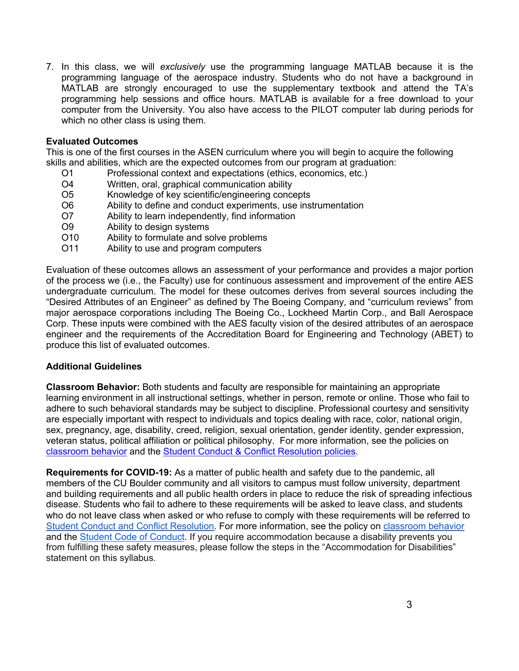7. In this class, we will *exclusively* use the programming language MATLAB because it is the programming language of the aerospace industry. Students who do not have a background in MATLAB are strongly encouraged to use the supplementary textbook and attend the TA's programming help sessions and office hours. MATLAB is available for a free download to your computer from the University. You also have access to the PILOT computer lab during periods for which no other class is using them.

## **Evaluated Outcomes**

This is one of the first courses in the ASEN curriculum where you will begin to acquire the following skills and abilities, which are the expected outcomes from our program at graduation:

- O1 Professional context and expectations (ethics, economics, etc.)
- O4 Written, oral, graphical communication ability
- O5 Knowledge of key scientific/engineering concepts
- O6 Ability to define and conduct experiments, use instrumentation
- O7 Ability to learn independently, find information
- O9 Ability to design systems
- O10 Ability to formulate and solve problems
- O11 Ability to use and program computers

Evaluation of these outcomes allows an assessment of your performance and provides a major portion of the process we (i.e., the Faculty) use for continuous assessment and improvement of the entire AES undergraduate curriculum. The model for these outcomes derives from several sources including the "Desired Attributes of an Engineer" as defined by The Boeing Company, and "curriculum reviews" from major aerospace corporations including The Boeing Co., Lockheed Martin Corp., and Ball Aerospace Corp. These inputs were combined with the AES faculty vision of the desired attributes of an aerospace engineer and the requirements of the Accreditation Board for Engineering and Technology (ABET) to produce this list of evaluated outcomes.

## **Additional Guidelines**

**Classroom Behavior:** Both students and faculty are responsible for maintaining an appropriate learning environment in all instructional settings, whether in person, remote or online. Those who fail to adhere to such behavioral standards may be subject to discipline. Professional courtesy and sensitivity are especially important with respect to individuals and topics dealing with race, color, national origin, sex, pregnancy, age, disability, creed, religion, sexual orientation, gender identity, gender expression, veteran status, political affiliation or political philosophy. For more information, see the policies on classroom behavior and the Student Conduct & Conflict Resolution policies.

**Requirements for COVID-19:** As a matter of public health and safety due to the pandemic, all members of the CU Boulder community and all visitors to campus must follow university, department and building requirements and all public health orders in place to reduce the risk of spreading infectious disease. Students who fail to adhere to these requirements will be asked to leave class, and students who do not leave class when asked or who refuse to comply with these requirements will be referred to Student Conduct and Conflict Resolution. For more information, see the policy on classroom behavior and the Student Code of Conduct. If you require accommodation because a disability prevents you from fulfilling these safety measures, please follow the steps in the "Accommodation for Disabilities" statement on this syllabus.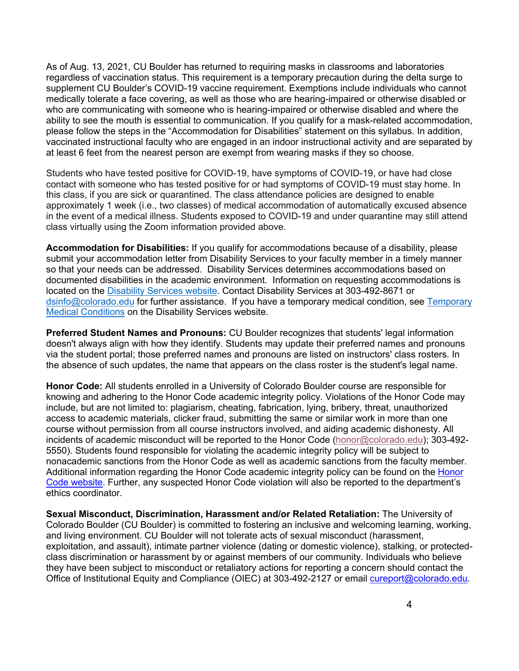As of Aug. 13, 2021, CU Boulder has returned to requiring masks in classrooms and laboratories regardless of vaccination status. This requirement is a temporary precaution during the delta surge to supplement CU Boulder's COVID-19 vaccine requirement. Exemptions include individuals who cannot medically tolerate a face covering, as well as those who are hearing-impaired or otherwise disabled or who are communicating with someone who is hearing-impaired or otherwise disabled and where the ability to see the mouth is essential to communication. If you qualify for a mask-related accommodation, please follow the steps in the "Accommodation for Disabilities" statement on this syllabus. In addition, vaccinated instructional faculty who are engaged in an indoor instructional activity and are separated by at least 6 feet from the nearest person are exempt from wearing masks if they so choose.

Students who have tested positive for COVID-19, have symptoms of COVID-19, or have had close contact with someone who has tested positive for or had symptoms of COVID-19 must stay home. In this class, if you are sick or quarantined. The class attendance policies are designed to enable approximately 1 week (i.e., two classes) of medical accommodation of automatically excused absence in the event of a medical illness. Students exposed to COVID-19 and under quarantine may still attend class virtually using the Zoom information provided above.

**Accommodation for Disabilities:** If you qualify for accommodations because of a disability, please submit your accommodation letter from Disability Services to your faculty member in a timely manner so that your needs can be addressed. Disability Services determines accommodations based on documented disabilities in the academic environment. Information on requesting accommodations is located on the Disability Services website. Contact Disability Services at 303-492-8671 or dsinfo@colorado.edu for further assistance. If you have a temporary medical condition, see Temporary Medical Conditions on the Disability Services website.

**Preferred Student Names and Pronouns:** CU Boulder recognizes that students' legal information doesn't always align with how they identify. Students may update their preferred names and pronouns via the student portal; those preferred names and pronouns are listed on instructors' class rosters. In the absence of such updates, the name that appears on the class roster is the student's legal name.

**Honor Code:** All students enrolled in a University of Colorado Boulder course are responsible for knowing and adhering to the Honor Code academic integrity policy. Violations of the Honor Code may include, but are not limited to: plagiarism, cheating, fabrication, lying, bribery, threat, unauthorized access to academic materials, clicker fraud, submitting the same or similar work in more than one course without permission from all course instructors involved, and aiding academic dishonesty. All incidents of academic misconduct will be reported to the Honor Code (honor@colorado.edu); 303-492- 5550). Students found responsible for violating the academic integrity policy will be subject to nonacademic sanctions from the Honor Code as well as academic sanctions from the faculty member. Additional information regarding the Honor Code academic integrity policy can be found on the Honor Code website. Further, any suspected Honor Code violation will also be reported to the department's ethics coordinator.

**Sexual Misconduct, Discrimination, Harassment and/or Related Retaliation:** The University of Colorado Boulder (CU Boulder) is committed to fostering an inclusive and welcoming learning, working, and living environment. CU Boulder will not tolerate acts of sexual misconduct (harassment, exploitation, and assault), intimate partner violence (dating or domestic violence), stalking, or protectedclass discrimination or harassment by or against members of our community. Individuals who believe they have been subject to misconduct or retaliatory actions for reporting a concern should contact the Office of Institutional Equity and Compliance (OIEC) at 303-492-2127 or email cureport@colorado.edu.